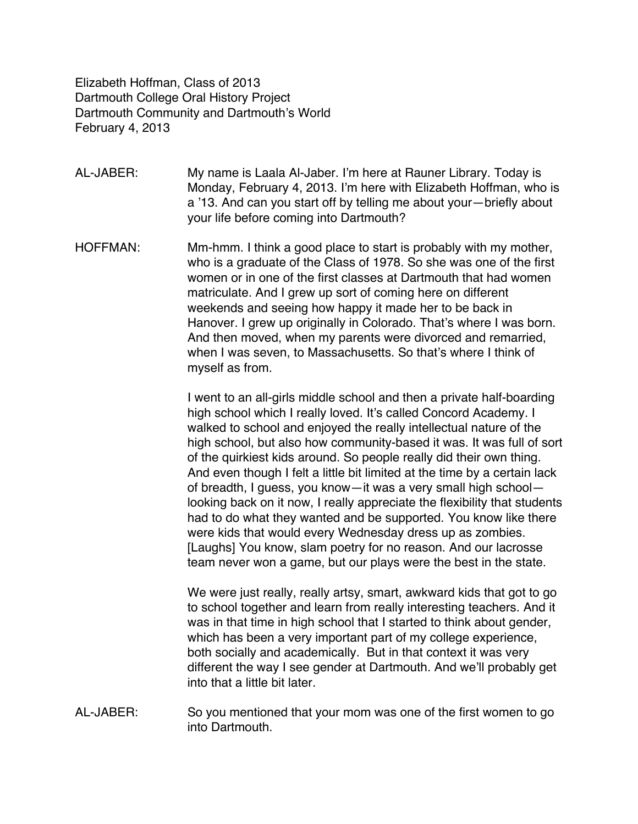Elizabeth Hoffman, Class of 2013 Dartmouth College Oral History Project Dartmouth Community and Dartmouth's World February 4, 2013

AL-JABER: My name is Laala Al-Jaber. I'm here at Rauner Library. Today is Monday, February 4, 2013. I'm here with Elizabeth Hoffman, who is a '13. And can you start off by telling me about your—briefly about your life before coming into Dartmouth?

HOFFMAN: Mm-hmm. I think a good place to start is probably with my mother, who is a graduate of the Class of 1978. So she was one of the first women or in one of the first classes at Dartmouth that had women matriculate. And I grew up sort of coming here on different weekends and seeing how happy it made her to be back in Hanover. I grew up originally in Colorado. That's where I was born. And then moved, when my parents were divorced and remarried, when I was seven, to Massachusetts. So that's where I think of myself as from.

> I went to an all-girls middle school and then a private half-boarding high school which I really loved. It's called Concord Academy. I walked to school and enjoyed the really intellectual nature of the high school, but also how community-based it was. It was full of sort of the quirkiest kids around. So people really did their own thing. And even though I felt a little bit limited at the time by a certain lack of breadth, I guess, you know—it was a very small high school looking back on it now, I really appreciate the flexibility that students had to do what they wanted and be supported. You know like there were kids that would every Wednesday dress up as zombies. [Laughs] You know, slam poetry for no reason. And our lacrosse team never won a game, but our plays were the best in the state.

We were just really, really artsy, smart, awkward kids that got to go to school together and learn from really interesting teachers. And it was in that time in high school that I started to think about gender, which has been a very important part of my college experience, both socially and academically. But in that context it was very different the way I see gender at Dartmouth. And we'll probably get into that a little bit later.

AL-JABER: So you mentioned that your mom was one of the first women to go into Dartmouth.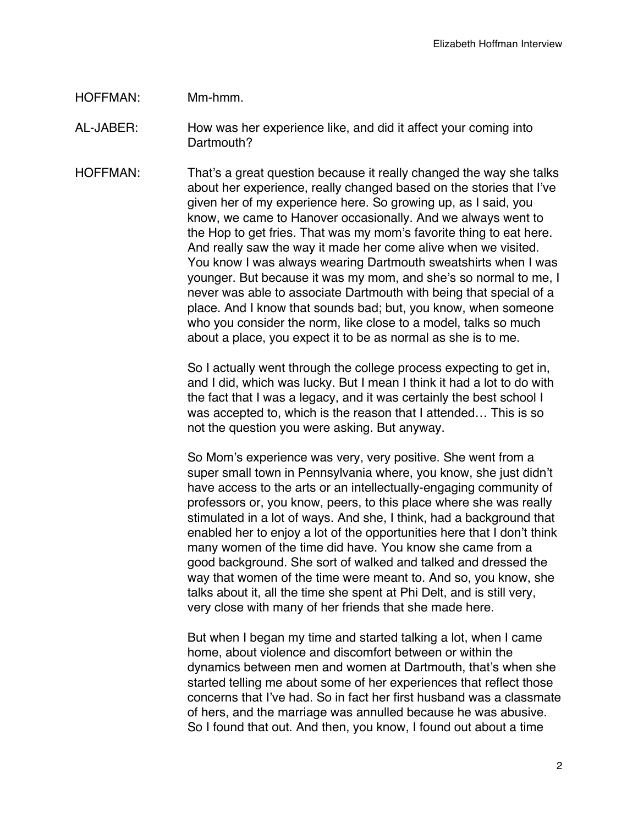## HOFFMAN: Mm-hmm.

- AL-JABER: How was her experience like, and did it affect your coming into Dartmouth?
- HOFFMAN: That's a great question because it really changed the way she talks about her experience, really changed based on the stories that I've given her of my experience here. So growing up, as I said, you know, we came to Hanover occasionally. And we always went to the Hop to get fries. That was my mom's favorite thing to eat here. And really saw the way it made her come alive when we visited. You know I was always wearing Dartmouth sweatshirts when I was younger. But because it was my mom, and she's so normal to me, I never was able to associate Dartmouth with being that special of a place. And I know that sounds bad; but, you know, when someone who you consider the norm, like close to a model, talks so much about a place, you expect it to be as normal as she is to me.

So I actually went through the college process expecting to get in, and I did, which was lucky. But I mean I think it had a lot to do with the fact that I was a legacy, and it was certainly the best school I was accepted to, which is the reason that I attended… This is so not the question you were asking. But anyway.

So Mom's experience was very, very positive. She went from a super small town in Pennsylvania where, you know, she just didn't have access to the arts or an intellectually-engaging community of professors or, you know, peers, to this place where she was really stimulated in a lot of ways. And she, I think, had a background that enabled her to enjoy a lot of the opportunities here that I don't think many women of the time did have. You know she came from a good background. She sort of walked and talked and dressed the way that women of the time were meant to. And so, you know, she talks about it, all the time she spent at Phi Delt, and is still very, very close with many of her friends that she made here.

But when I began my time and started talking a lot, when I came home, about violence and discomfort between or within the dynamics between men and women at Dartmouth, that's when she started telling me about some of her experiences that reflect those concerns that I've had. So in fact her first husband was a classmate of hers, and the marriage was annulled because he was abusive. So I found that out. And then, you know, I found out about a time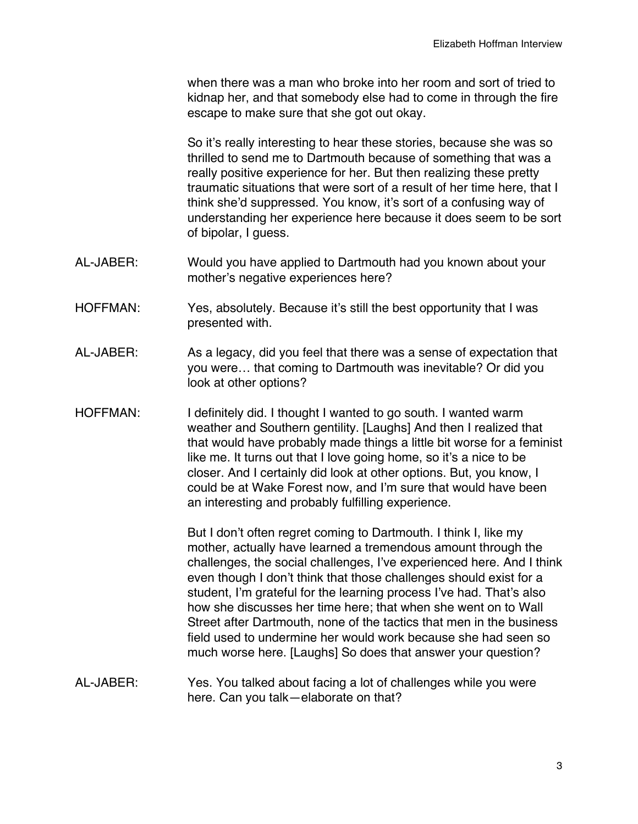when there was a man who broke into her room and sort of tried to kidnap her, and that somebody else had to come in through the fire escape to make sure that she got out okay.

So it's really interesting to hear these stories, because she was so thrilled to send me to Dartmouth because of something that was a really positive experience for her. But then realizing these pretty traumatic situations that were sort of a result of her time here, that I think she'd suppressed. You know, it's sort of a confusing way of understanding her experience here because it does seem to be sort of bipolar, I guess.

- AL-JABER: Would you have applied to Dartmouth had you known about your mother's negative experiences here?
- HOFFMAN: Yes, absolutely. Because it's still the best opportunity that I was presented with.
- AL-JABER: As a legacy, did you feel that there was a sense of expectation that you were… that coming to Dartmouth was inevitable? Or did you look at other options?
- HOFFMAN: I definitely did. I thought I wanted to go south. I wanted warm weather and Southern gentility. [Laughs] And then I realized that that would have probably made things a little bit worse for a feminist like me. It turns out that I love going home, so it's a nice to be closer. And I certainly did look at other options. But, you know, I could be at Wake Forest now, and I'm sure that would have been an interesting and probably fulfilling experience.

But I don't often regret coming to Dartmouth. I think I, like my mother, actually have learned a tremendous amount through the challenges, the social challenges, I've experienced here. And I think even though I don't think that those challenges should exist for a student, I'm grateful for the learning process I've had. That's also how she discusses her time here; that when she went on to Wall Street after Dartmouth, none of the tactics that men in the business field used to undermine her would work because she had seen so much worse here. [Laughs] So does that answer your question?

AL-JABER: Yes. You talked about facing a lot of challenges while you were here. Can you talk—elaborate on that?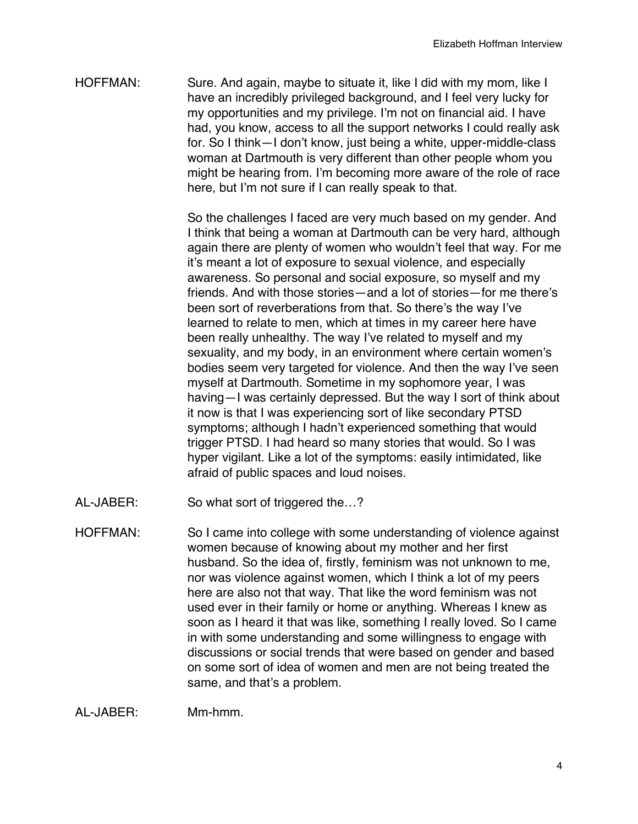HOFFMAN: Sure. And again, maybe to situate it, like I did with my mom, like I have an incredibly privileged background, and I feel very lucky for my opportunities and my privilege. I'm not on financial aid. I have had, you know, access to all the support networks I could really ask for. So I think—I don't know, just being a white, upper-middle-class woman at Dartmouth is very different than other people whom you might be hearing from. I'm becoming more aware of the role of race here, but I'm not sure if I can really speak to that.

> So the challenges I faced are very much based on my gender. And I think that being a woman at Dartmouth can be very hard, although again there are plenty of women who wouldn't feel that way. For me it's meant a lot of exposure to sexual violence, and especially awareness. So personal and social exposure, so myself and my friends. And with those stories—and a lot of stories—for me there's been sort of reverberations from that. So there's the way I've learned to relate to men, which at times in my career here have been really unhealthy. The way I've related to myself and my sexuality, and my body, in an environment where certain women's bodies seem very targeted for violence. And then the way I've seen myself at Dartmouth. Sometime in my sophomore year, I was having—I was certainly depressed. But the way I sort of think about it now is that I was experiencing sort of like secondary PTSD symptoms; although I hadn't experienced something that would trigger PTSD. I had heard so many stories that would. So I was hyper vigilant. Like a lot of the symptoms: easily intimidated, like afraid of public spaces and loud noises.

- AL-JABER: So what sort of triggered the…?
- HOFFMAN: So I came into college with some understanding of violence against women because of knowing about my mother and her first husband. So the idea of, firstly, feminism was not unknown to me, nor was violence against women, which I think a lot of my peers here are also not that way. That like the word feminism was not used ever in their family or home or anything. Whereas I knew as soon as I heard it that was like, something I really loved. So I came in with some understanding and some willingness to engage with discussions or social trends that were based on gender and based on some sort of idea of women and men are not being treated the same, and that's a problem.

AL-JABER: Mm-hmm.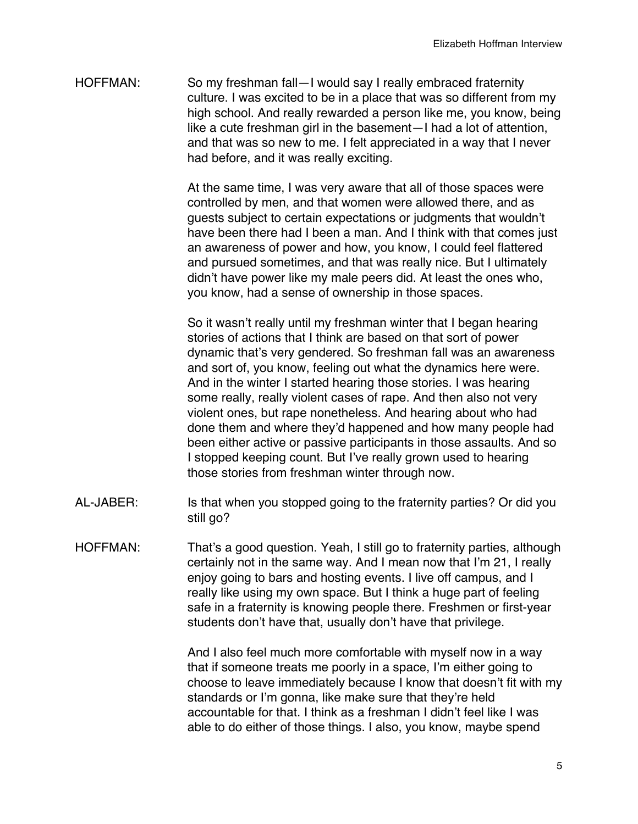HOFFMAN: So my freshman fall—I would say I really embraced fraternity culture. I was excited to be in a place that was so different from my high school. And really rewarded a person like me, you know, being like a cute freshman girl in the basement—I had a lot of attention, and that was so new to me. I felt appreciated in a way that I never had before, and it was really exciting.

> At the same time, I was very aware that all of those spaces were controlled by men, and that women were allowed there, and as guests subject to certain expectations or judgments that wouldn't have been there had I been a man. And I think with that comes just an awareness of power and how, you know, I could feel flattered and pursued sometimes, and that was really nice. But I ultimately didn't have power like my male peers did. At least the ones who, you know, had a sense of ownership in those spaces.

> So it wasn't really until my freshman winter that I began hearing stories of actions that I think are based on that sort of power dynamic that's very gendered. So freshman fall was an awareness and sort of, you know, feeling out what the dynamics here were. And in the winter I started hearing those stories. I was hearing some really, really violent cases of rape. And then also not very violent ones, but rape nonetheless. And hearing about who had done them and where they'd happened and how many people had been either active or passive participants in those assaults. And so I stopped keeping count. But I've really grown used to hearing those stories from freshman winter through now.

- AL-JABER: Is that when you stopped going to the fraternity parties? Or did you still go?
- HOFFMAN: That's a good question. Yeah, I still go to fraternity parties, although certainly not in the same way. And I mean now that I'm 21, I really enjoy going to bars and hosting events. I live off campus, and I really like using my own space. But I think a huge part of feeling safe in a fraternity is knowing people there. Freshmen or first-year students don't have that, usually don't have that privilege.

And I also feel much more comfortable with myself now in a way that if someone treats me poorly in a space, I'm either going to choose to leave immediately because I know that doesn't fit with my standards or I'm gonna, like make sure that they're held accountable for that. I think as a freshman I didn't feel like I was able to do either of those things. I also, you know, maybe spend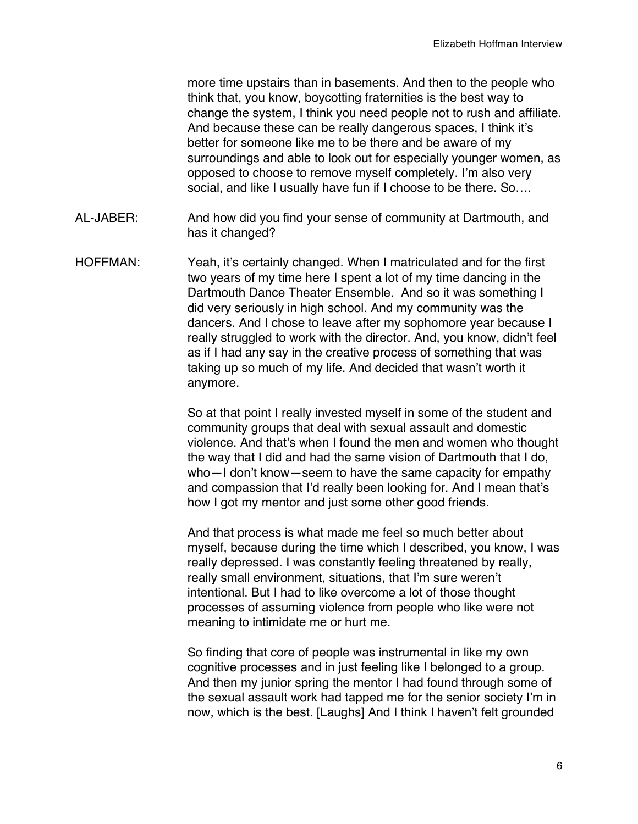more time upstairs than in basements. And then to the people who think that, you know, boycotting fraternities is the best way to change the system, I think you need people not to rush and affiliate. And because these can be really dangerous spaces, I think it's better for someone like me to be there and be aware of my surroundings and able to look out for especially younger women, as opposed to choose to remove myself completely. I'm also very social, and like I usually have fun if I choose to be there. So....

- AL-JABER: And how did you find your sense of community at Dartmouth, and has it changed?
- HOFFMAN: Yeah, it's certainly changed. When I matriculated and for the first two years of my time here I spent a lot of my time dancing in the Dartmouth Dance Theater Ensemble. And so it was something I did very seriously in high school. And my community was the dancers. And I chose to leave after my sophomore year because I really struggled to work with the director. And, you know, didn't feel as if I had any say in the creative process of something that was taking up so much of my life. And decided that wasn't worth it anymore.

So at that point I really invested myself in some of the student and community groups that deal with sexual assault and domestic violence. And that's when I found the men and women who thought the way that I did and had the same vision of Dartmouth that I do, who—I don't know—seem to have the same capacity for empathy and compassion that I'd really been looking for. And I mean that's how I got my mentor and just some other good friends.

And that process is what made me feel so much better about myself, because during the time which I described, you know, I was really depressed. I was constantly feeling threatened by really, really small environment, situations, that I'm sure weren't intentional. But I had to like overcome a lot of those thought processes of assuming violence from people who like were not meaning to intimidate me or hurt me.

So finding that core of people was instrumental in like my own cognitive processes and in just feeling like I belonged to a group. And then my junior spring the mentor I had found through some of the sexual assault work had tapped me for the senior society I'm in now, which is the best. [Laughs] And I think I haven't felt grounded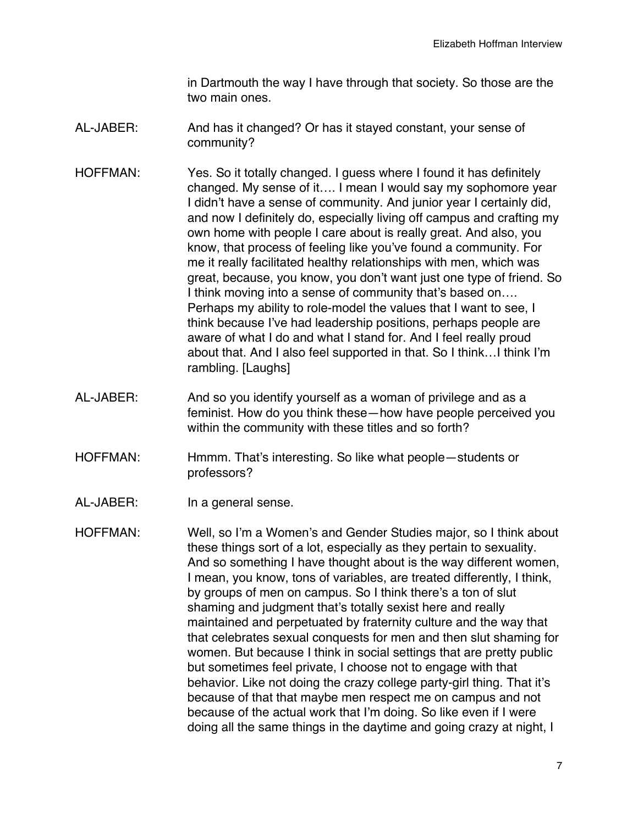in Dartmouth the way I have through that society. So those are the two main ones.

- AL-JABER: And has it changed? Or has it stayed constant, your sense of community?
- HOFFMAN: Yes. So it totally changed. I guess where I found it has definitely changed. My sense of it…. I mean I would say my sophomore year I didn't have a sense of community. And junior year I certainly did, and now I definitely do, especially living off campus and crafting my own home with people I care about is really great. And also, you know, that process of feeling like you've found a community. For me it really facilitated healthy relationships with men, which was great, because, you know, you don't want just one type of friend. So I think moving into a sense of community that's based on…. Perhaps my ability to role-model the values that I want to see, I think because I've had leadership positions, perhaps people are aware of what I do and what I stand for. And I feel really proud about that. And I also feel supported in that. So I think…I think I'm rambling. [Laughs]
- AL-JABER: And so you identify yourself as a woman of privilege and as a feminist. How do you think these—how have people perceived you within the community with these titles and so forth?
- HOFFMAN: Hmmm. That's interesting. So like what people—students or professors?
- AL-JABER: In a general sense.
- HOFFMAN: Well, so I'm a Women's and Gender Studies major, so I think about these things sort of a lot, especially as they pertain to sexuality. And so something I have thought about is the way different women, I mean, you know, tons of variables, are treated differently, I think, by groups of men on campus. So I think there's a ton of slut shaming and judgment that's totally sexist here and really maintained and perpetuated by fraternity culture and the way that that celebrates sexual conquests for men and then slut shaming for women. But because I think in social settings that are pretty public but sometimes feel private, I choose not to engage with that behavior. Like not doing the crazy college party-girl thing. That it's because of that that maybe men respect me on campus and not because of the actual work that I'm doing. So like even if I were doing all the same things in the daytime and going crazy at night, I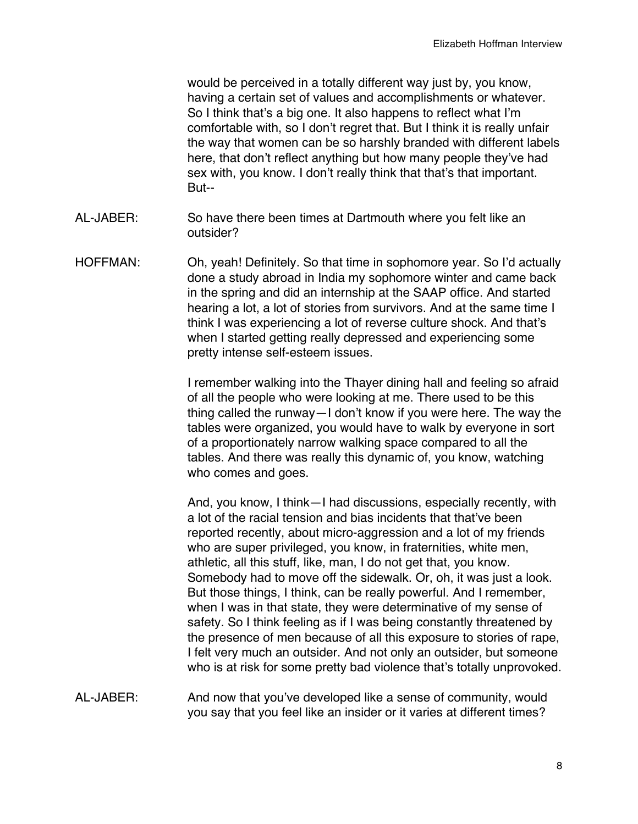would be perceived in a totally different way just by, you know, having a certain set of values and accomplishments or whatever. So I think that's a big one. It also happens to reflect what I'm comfortable with, so I don't regret that. But I think it is really unfair the way that women can be so harshly branded with different labels here, that don't reflect anything but how many people they've had sex with, you know. I don't really think that that's that important. But--

- AL-JABER: So have there been times at Dartmouth where you felt like an outsider?
- HOFFMAN: Oh, yeah! Definitely. So that time in sophomore year. So I'd actually done a study abroad in India my sophomore winter and came back in the spring and did an internship at the SAAP office. And started hearing a lot, a lot of stories from survivors. And at the same time I think I was experiencing a lot of reverse culture shock. And that's when I started getting really depressed and experiencing some pretty intense self-esteem issues.

I remember walking into the Thayer dining hall and feeling so afraid of all the people who were looking at me. There used to be this thing called the runway—I don't know if you were here. The way the tables were organized, you would have to walk by everyone in sort of a proportionately narrow walking space compared to all the tables. And there was really this dynamic of, you know, watching who comes and goes.

And, you know, I think—I had discussions, especially recently, with a lot of the racial tension and bias incidents that that've been reported recently, about micro-aggression and a lot of my friends who are super privileged, you know, in fraternities, white men, athletic, all this stuff, like, man, I do not get that, you know. Somebody had to move off the sidewalk. Or, oh, it was just a look. But those things, I think, can be really powerful. And I remember, when I was in that state, they were determinative of my sense of safety. So I think feeling as if I was being constantly threatened by the presence of men because of all this exposure to stories of rape, I felt very much an outsider. And not only an outsider, but someone who is at risk for some pretty bad violence that's totally unprovoked.

AL-JABER: And now that you've developed like a sense of community, would you say that you feel like an insider or it varies at different times?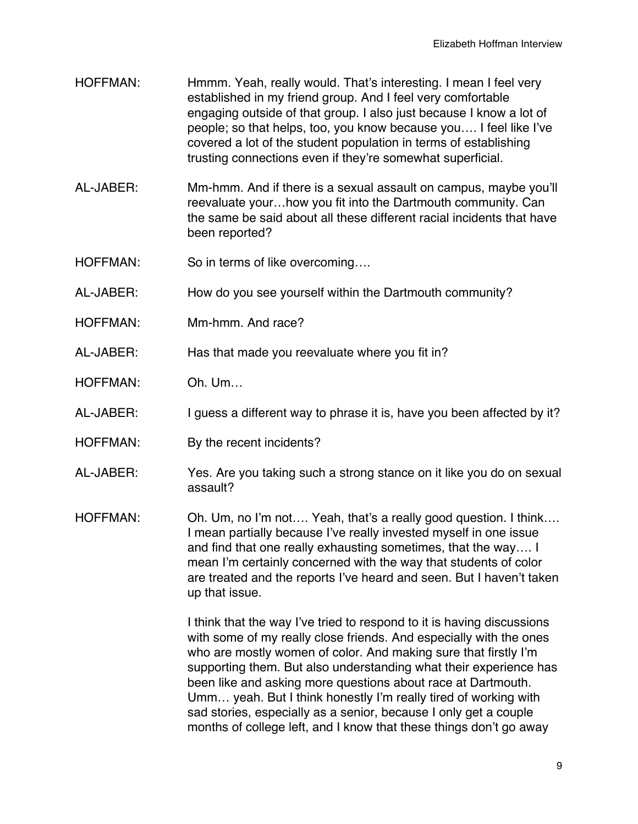- HOFFMAN: Hmmm. Yeah, really would. That's interesting. I mean I feel very established in my friend group. And I feel very comfortable engaging outside of that group. I also just because I know a lot of people; so that helps, too, you know because you…. I feel like I've covered a lot of the student population in terms of establishing trusting connections even if they're somewhat superficial.
- AL-JABER: Mm-hmm. And if there is a sexual assault on campus, maybe you'll reevaluate your…how you fit into the Dartmouth community. Can the same be said about all these different racial incidents that have been reported?
- HOFFMAN: So in terms of like overcoming....
- AL-JABER: How do you see yourself within the Dartmouth community?
- HOFFMAN: Mm-hmm. And race?
- AL-JABER: Has that made you reevaluate where you fit in?
- HOFFMAN: Oh. Um…
- AL-JABER: I guess a different way to phrase it is, have you been affected by it?
- HOFFMAN: By the recent incidents?
- AL-JABER: Yes. Are you taking such a strong stance on it like you do on sexual assault?
- HOFFMAN: Oh. Um, no I'm not.... Yeah, that's a really good question. I think.... I mean partially because I've really invested myself in one issue and find that one really exhausting sometimes, that the way…. I mean I'm certainly concerned with the way that students of color are treated and the reports I've heard and seen. But I haven't taken up that issue.

I think that the way I've tried to respond to it is having discussions with some of my really close friends. And especially with the ones who are mostly women of color. And making sure that firstly I'm supporting them. But also understanding what their experience has been like and asking more questions about race at Dartmouth. Umm… yeah. But I think honestly I'm really tired of working with sad stories, especially as a senior, because I only get a couple months of college left, and I know that these things don't go away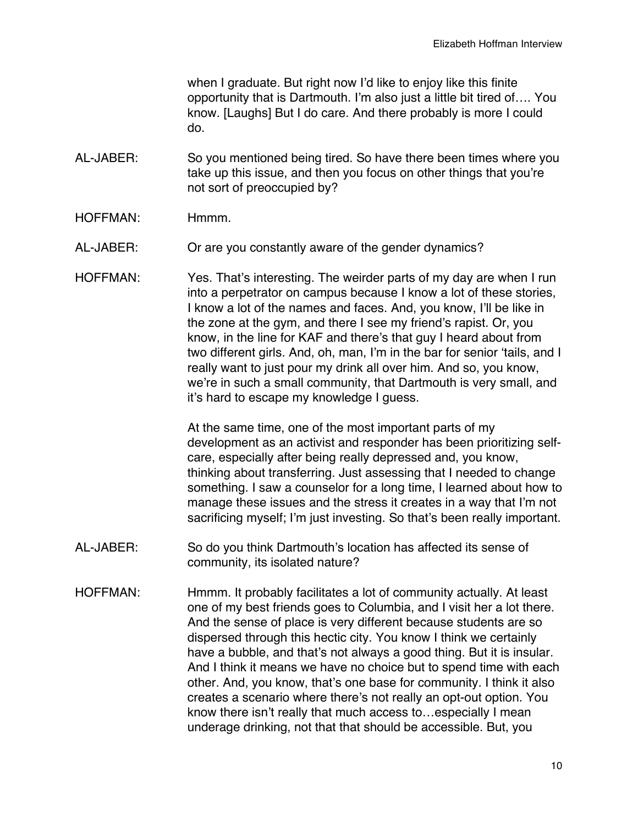when I graduate. But right now I'd like to enjoy like this finite opportunity that is Dartmouth. I'm also just a little bit tired of…. You know. [Laughs] But I do care. And there probably is more I could do.

- AL-JABER: So you mentioned being tired. So have there been times where you take up this issue, and then you focus on other things that you're not sort of preoccupied by?
- HOFFMAN: Hmmm.
- AL-JABER: Or are you constantly aware of the gender dynamics?
- HOFFMAN: Yes. That's interesting. The weirder parts of my day are when I run into a perpetrator on campus because I know a lot of these stories, I know a lot of the names and faces. And, you know, I'll be like in the zone at the gym, and there I see my friend's rapist. Or, you know, in the line for KAF and there's that guy I heard about from two different girls. And, oh, man, I'm in the bar for senior 'tails, and I really want to just pour my drink all over him. And so, you know, we're in such a small community, that Dartmouth is very small, and it's hard to escape my knowledge I guess.

At the same time, one of the most important parts of my development as an activist and responder has been prioritizing selfcare, especially after being really depressed and, you know, thinking about transferring. Just assessing that I needed to change something. I saw a counselor for a long time, I learned about how to manage these issues and the stress it creates in a way that I'm not sacrificing myself; I'm just investing. So that's been really important.

- AL-JABER: So do you think Dartmouth's location has affected its sense of community, its isolated nature?
- HOFFMAN: Hmmm. It probably facilitates a lot of community actually. At least one of my best friends goes to Columbia, and I visit her a lot there. And the sense of place is very different because students are so dispersed through this hectic city. You know I think we certainly have a bubble, and that's not always a good thing. But it is insular. And I think it means we have no choice but to spend time with each other. And, you know, that's one base for community. I think it also creates a scenario where there's not really an opt-out option. You know there isn't really that much access to…especially I mean underage drinking, not that that should be accessible. But, you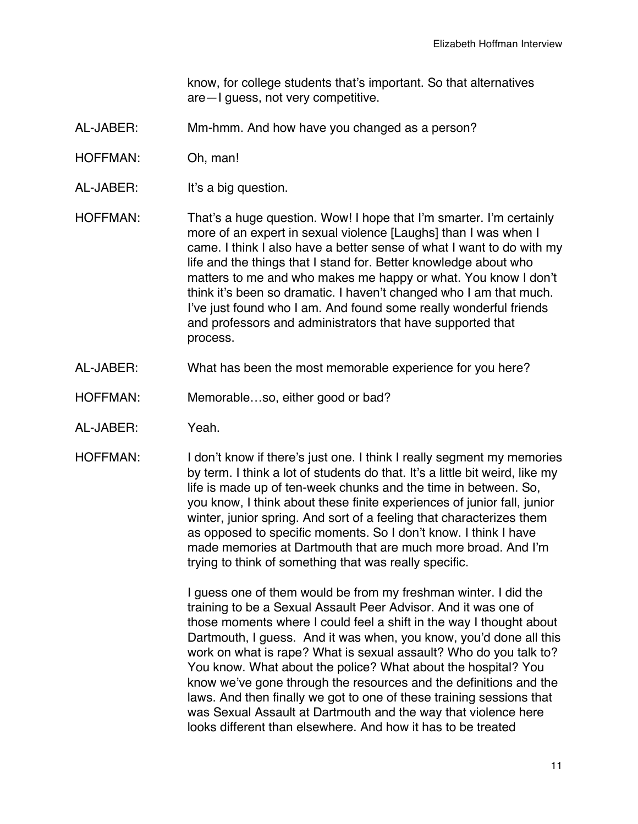know, for college students that's important. So that alternatives are—I guess, not very competitive.

- AL-JABER: Mm-hmm. And how have you changed as a person?
- HOFFMAN: Oh, man!
- AL-JABER: It's a big question.

HOFFMAN: That's a huge question. Wow! I hope that I'm smarter. I'm certainly more of an expert in sexual violence [Laughs] than I was when I came. I think I also have a better sense of what I want to do with my life and the things that I stand for. Better knowledge about who matters to me and who makes me happy or what. You know I don't think it's been so dramatic. I haven't changed who I am that much. I've just found who I am. And found some really wonderful friends and professors and administrators that have supported that process.

- AL-JABER: What has been the most memorable experience for you here?
- HOFFMAN: Memorable...so, either good or bad?
- AL-JABER: Yeah.
- HOFFMAN: I don't know if there's just one. I think I really segment my memories by term. I think a lot of students do that. It's a little bit weird, like my life is made up of ten-week chunks and the time in between. So, you know, I think about these finite experiences of junior fall, junior winter, junior spring. And sort of a feeling that characterizes them as opposed to specific moments. So I don't know. I think I have made memories at Dartmouth that are much more broad. And I'm trying to think of something that was really specific.

I guess one of them would be from my freshman winter. I did the training to be a Sexual Assault Peer Advisor. And it was one of those moments where I could feel a shift in the way I thought about Dartmouth, I guess. And it was when, you know, you'd done all this work on what is rape? What is sexual assault? Who do you talk to? You know. What about the police? What about the hospital? You know we've gone through the resources and the definitions and the laws. And then finally we got to one of these training sessions that was Sexual Assault at Dartmouth and the way that violence here looks different than elsewhere. And how it has to be treated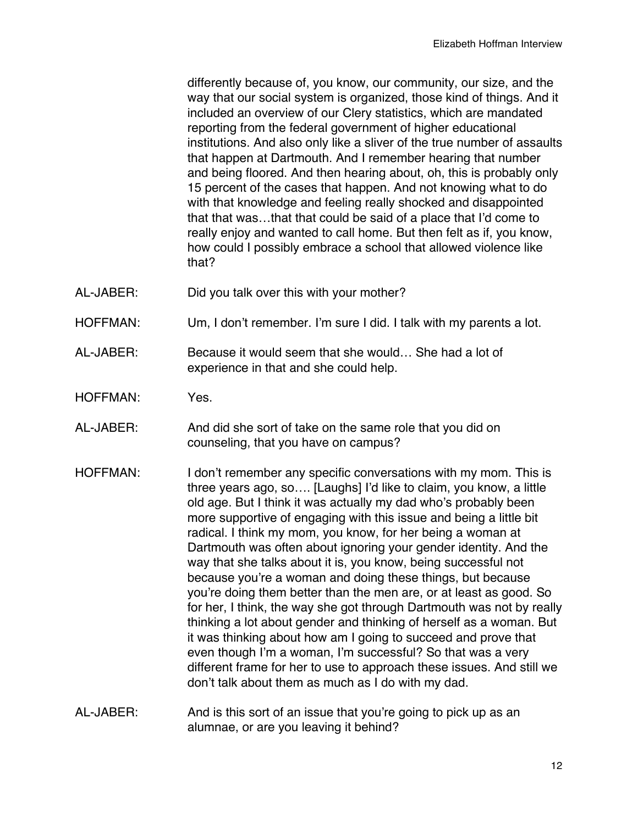differently because of, you know, our community, our size, and the way that our social system is organized, those kind of things. And it included an overview of our Clery statistics, which are mandated reporting from the federal government of higher educational institutions. And also only like a sliver of the true number of assaults that happen at Dartmouth. And I remember hearing that number and being floored. And then hearing about, oh, this is probably only 15 percent of the cases that happen. And not knowing what to do with that knowledge and feeling really shocked and disappointed that that was…that that could be said of a place that I'd come to really enjoy and wanted to call home. But then felt as if, you know, how could I possibly embrace a school that allowed violence like that?

- AL-JABER: Did you talk over this with your mother?
- HOFFMAN: Um, I don't remember. I'm sure I did. I talk with my parents a lot.
- AL-JABER: Because it would seem that she would… She had a lot of experience in that and she could help.
- HOFFMAN: Yes.
- AL-JABER: And did she sort of take on the same role that you did on counseling, that you have on campus?
- HOFFMAN: I don't remember any specific conversations with my mom. This is three years ago, so…. [Laughs] I'd like to claim, you know, a little old age. But I think it was actually my dad who's probably been more supportive of engaging with this issue and being a little bit radical. I think my mom, you know, for her being a woman at Dartmouth was often about ignoring your gender identity. And the way that she talks about it is, you know, being successful not because you're a woman and doing these things, but because you're doing them better than the men are, or at least as good. So for her, I think, the way she got through Dartmouth was not by really thinking a lot about gender and thinking of herself as a woman. But it was thinking about how am I going to succeed and prove that even though I'm a woman, I'm successful? So that was a very different frame for her to use to approach these issues. And still we don't talk about them as much as I do with my dad.
- AL-JABER: And is this sort of an issue that you're going to pick up as an alumnae, or are you leaving it behind?